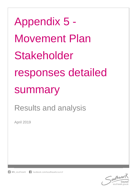Appendix 5 - Movement Plan Stakeholder responses detailed summary

# Results and analysis

April 2019

f facebook.com/southwarkcouncil  $\Box$  @lb southwark

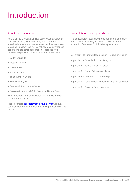# Introduction

## About the consultation

As the online Consultation Hub survey was targeted at people who, live, work and study in the borough, stakeholders were encourage to submit their responses via email Hence, these were analysed and summarised separate to the other consultation responses We received response from 8 stakeholders, these were:

- Better Bankside
- Historic England
- **Living Streets**
- Mums for Lungs
- Team London Bridge
- Southwark Cyclists
- Southwark Pensioners Centre
- Dulwich & Herne Hill Safe Routes to School Group

The Movement Plan consultation ran from November 2018 to February 2019.

Please contact **transport@southwark.gov.uk** with any questions regarding the data and finding presented in this report.

## Consultation report appendices

The consultation results are presented in one summary report and each activity is analysed in depth in each appendix. See below for full list of appendices.

Movement Plan Consultation Report – Summary Report

Appendix 1 – Consultation Hub Analysis

Appendix 2 – Street Surveys Analysis

- Appendix 3 Young Advisors Analysis
- Appendix 4 Over 65s Workshop Report
- Appendix 5 Stakeholder Responses Detailed Summary
- Appendix 6 Surveys Questionnaires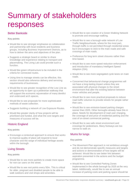# Summary of stakeholders responses

## Better Bankside

### **Key points**

- Would like to see stronger emphasise on collaboration and partnership with local residents and business groups, including Business Improvement Districts, as to how to deliver the aims and objectives of the plan.
- Suggests a strategic board or similar to share knowledge and experience relating to transport and placemaking. The Living Lab could provide such a function.
- Would like green infrastructure to be included in the criteria for connected routes.
- Using time to manage streets can be effective, this section should also reference delivery and servicing requirements of businesses.
- Would like to see greater recognition of the Low Line as an opportunity to open up a pedestrian walkway that will support the economic rejuvenation of many derelict and underused arch spaces.
- Would like to see proposals for more sophisticated methods of waste collection.
- Suggests building a network of Low Exposure Routes.
- Would like greater clarity of how projects will be prioritised and funded, and what the core targets and measures of success will be.

## Historic England

### **Key points**

 Encourage a contextual approach to ensure that works to improve quality of place will respond to local character and the range of individual heritage assets within the borough.

## Living Streets

### **Key points**

- Would like to see more parklets to create more space for non-car users on the street.
- Would like to see rest points every 50m. This is critical for older, pregnant and disabled people to be able to walk outdoors and visit shops and amenities.
- Would like to see creation of a Green Walking Network to promote and encourage walking.
- Would like to see a borough-wide network of Low Traffic Neighbourhoods, where for the most part, through traffic is not permitted through residential areas but it encourages to stick to the main roads and safe crossings of main roads.
- Preference for long term street closures rather than time based.
- Would like to see more speed reduction enforcement and introduction of mandatory Intelligent Speed Adaption (ISA).
- Would like to see more segregated cycle lanes on main roads.
- Concerned that behavioural change programmes will not have a long-lasting impact unless they are associated with physical changes to the street environment that alter the existing balance between motor vehicles and people.
- Would like to see more practical proposals to reduce road traffic volumes to provide streets for people rather than cars.
- Would like to see emission-based parking charges sooner than 2025. Other boroughs already have this in place. Needs for development of road user charging, the coverage of and price of residential parking and the cost of on-street commercial parking.
- Would like to see safe street environment and crossings for pedestrians. Many footways are too narrow to walk on.

## Mums for lungs

### **Key points**

- The Movement Plan approach is not ambitious enough and do not demonstrate specific measures and targets and actions or demonstration of how targets will be achieved. Would like to see better link between aspiration presented in the actions and the budget programme.
- Would like to see Controlled Parking Zones implemented in the whole borough by 2025 at the very latest. Additionally, would like to see an annual increase of parking costs and parking space should be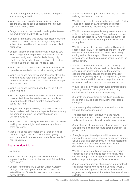reduced and repurposed for bike storage and green space starting in 2019.

- Would like to see introduction of emissions-based parking charges as soon as possible and introduce workplace parking levies.
- Suggests reduced car ownership and trips by 5% over the next 3 years and by 10% by 2028.
- Suggests introducing time-based road closures around schools at a rate of at least 5 a year, starting with schools that would benefit the most from a air pollution perspective.
- Suggest that the council implement at least one Low-Traffic-Neighbourhood per year. Rat-running can be prevented easily and cost-effectively through big planters on the middle of roads, enabling all residents to still be able to access their house by car.
- Would like to see council and all its subcontractors to operative low-emission as possible, starting in 2019.
- Would like to see new developments, especially in the well-connected north of the borough, completely car free (bar disabled access) but provide for bike storage for every resident.
- Would like to see increased speed of rolling out EV charging points.
- Push for urgent implementation of delivery hubs and pre-specified times that retailers are deliverable to. Ensuring they do not add to traffic and congestion during rush hour.
- Suggest working with delivery companies to ensure that all delivery vehicles are fully packed when entering the borough and drive the shortest route in lowemission-vehicles.
- Would like to see traffic lights retimed to ensure people walking wait less at lights and have enough time to cross big roads.
- Would like to see segregated cycle lanes across all main and bigger roads to provide a safe cycling environment and increase speed and efficiency of 24/7 hour bus routes.

## Team London Bridge

### **Key points**

- Would like greater emphasis on Healthy Streets approach and outcomes to link work with TfL and GLA more closely.
- Suggest referencing TfL's London Bridge Outcome Plan (2017) in the Lip document with proposals to extend Healthy Streets Assessments to boroughowned streets.
- Would like to see support for the Low Line as a new walking destination in London.
- Would like a Liveable Neighbourhood in London Bridge covering all borough-owned streets and spaces, potentially covering neighbouring areas as well.
- Would like to see people-oriented place where motor traffic is no longer dominant. Calm traffic and reduce road danger. Reduce rat running and the number of short car trips including filtered permeability where appropriate.
- Would like to see de-cluttering and simplification of spaces, particularly for pedestrians and cyclists with disabilities. Improved focus on accessible walking, cycling and public transport. Given the number of pedestrians, continuous crossings should become the default option.
- Would like to see measures to create a walking environment that is safe, accessible, distinctive and engaging, including: wider and better footways; decluttering; quality spaces and supportive street furniture; wayfinding; lighting; urban greening; public art; and formal and informal crossings that reduce pedestrian wait times and increase comfort levels
- Would like to see investment in cycling infrastructure, including dedicated routes, completion of CS4, contraflow cycling and more cycle parking.
- Suggests low impact logistics solutions including a mode shift to cargo-bikes and wider consolidation strategies.
- Improve air quality and reduce noise and promote tranquil, low-exposure routes.
- The proposed budget distribution is too heavily weighted in favour of 'encouragement' activities and studies with relatively little allocated to infrastructure.
- Suggest establishing a network of parks, green spaces and gardens including trees and other planting in the public realm.
- Strongly support filtered permeability as a tool to improve the public realm, sense of safety, and promote active travel. This provided that it remains possible for businesses to maintain operational access for deliveries and other essential activities.
- Would like to see real-time management of parking charges to allocate kerbside space efficiently with variable charges depending on vehicle emissions, in order to support the uptake of electric vehicles
- Supports encouragement of employers to understand challenges faced by those who drive / ride to work. Team London Bridge can assist with stakeholder engagement and provide information they have already collected.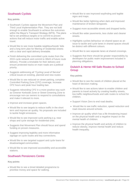# Southwark Cyclists

### **Key points**

- Southwark Cyclists oppose the Movement Plan and Third Local Implementation Plan. They are not bold enough to enable Southwark to achieve the outcomes within the Mayor's Transport Strategy (MTS). The plans fail to set ambitious targets or to commit to proven actions that will reduce motor traffic and enable active travel.
- Would like to see more liveable neighbourhoods' bids and a long term plan for filtering of residential streets with a clear and rapid delivery timetable.
- Finish delivering the committed cycle routes from the 2015 cycle network and commit to 30km of future route delivery. Provide a timetable for their delivery and ensure protected tracks on main roads are a political priority.
- Suggests addressing all "Cycling Level of Service" critical issues on existing, planned and new routes
- Would like to see reduced on street parking, complete Controlled Parking Zone (CPZ) coverage, increase CPZ hours and peak hour loading ban.
- Suggests rebranding CPZ in a more positive way such as Greener Kerbside Zone or Street Greening Zone to encourage non-car owners to respond to consultations and make it relevant to more.
- Improve and increase green spaces.
- Would like to see targets to reduce traffic in the short term and improve air quality. No proposals are included to tackle freight emissions.
- Would like to see improved cycle parking e.g. near shops and cycle storage for residential units.
- Suggests that Movement Plan should focus and spend funding on proven measures.
- Suggest improving legibility and more informative signage on cycle routes and key connections.
- Would like to see targeted support and cycle loans for disadvantaged communities.
- Would like to see improved accessibility and accessible stations.

## Southwark Pensioners Centre

#### **Key points**

 Would like to see a timed detailed programme to prioritise money and space for walking.

- Would like to see improved wayfinding and legible signs and maps.
- Would like better lightning when dark and improved maintenance of broken lampposts.
- Suggest more accessible streets and dropped kerbs.
- Would like wider pavements, less clutter and cleaner streets.
- Highlights cyclists behaviour on shared space as an issue to tackle and cycle lanes in shared spaces should be distinct with different colours.
- Would like to see separate lanes at shared crossings.
- Suggests that there should be greater responsibility by developers for public realm improvement included in planning obligations.

## Dulwich & Herne Hill Safe Routes to School **Group**

#### **Key points**

- Would like to see the needs of children placed at the heart of decision making.
- Would like to see actions taken to enable children and parents to travel actively by creating healthy streets, low traffic neighbourhoods and safe routes to school for children.
- Support Vision Zero to end road deaths.
- Would like to see traffic reduction, speed reduction and road closures around schools.
- Improve air quality which has a life threatening impact on the physical health and a negative impact on the mental health of children.
- Improve the physical health and activity of children to reduce obesity, improve mental health and reduce health inequality.